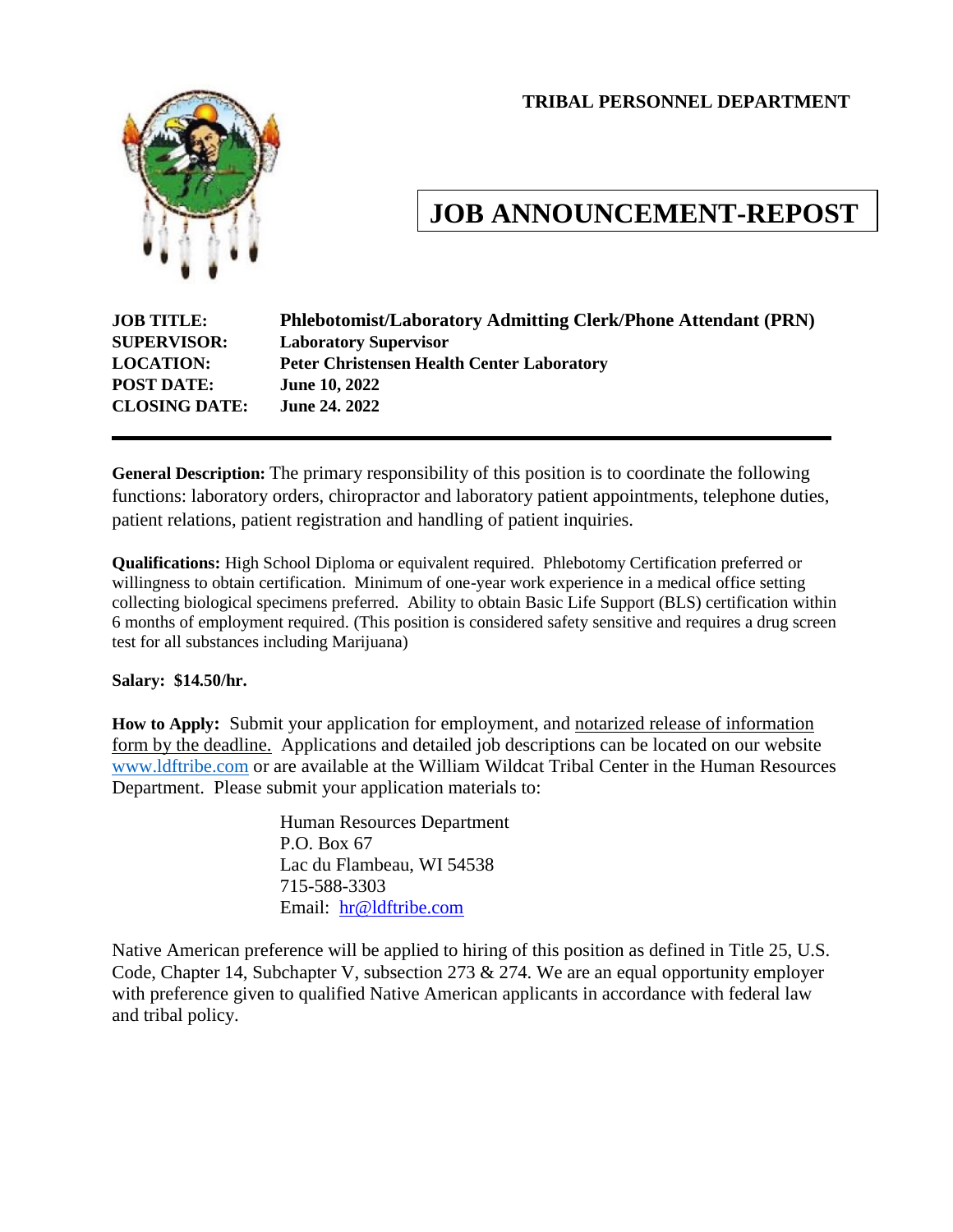#### **TRIBAL PERSONNEL DEPARTMENT**



# **JOB ANNOUNCEMENT-REPOST**

| <b>JOB TITLE:</b>    | <b>Phlebotomist/Laboratory Admitting Clerk/Phone Attendant (PRN)</b> |
|----------------------|----------------------------------------------------------------------|
| <b>SUPERVISOR:</b>   | <b>Laboratory Supervisor</b>                                         |
| <b>LOCATION:</b>     | <b>Peter Christensen Health Center Laboratory</b>                    |
| <b>POST DATE:</b>    | <b>June 10, 2022</b>                                                 |
| <b>CLOSING DATE:</b> | <b>June 24, 2022</b>                                                 |
|                      |                                                                      |

**General Description:** The primary responsibility of this position is to coordinate the following functions: laboratory orders, chiropractor and laboratory patient appointments, telephone duties, patient relations, patient registration and handling of patient inquiries.

**Qualifications:** High School Diploma or equivalent required. Phlebotomy Certification preferred or willingness to obtain certification. Minimum of one-year work experience in a medical office setting collecting biological specimens preferred. Ability to obtain Basic Life Support (BLS) certification within 6 months of employment required. (This position is considered safety sensitive and requires a drug screen test for all substances including Marijuana)

#### **Salary: \$14.50/hr.**

**How to Apply:** Submit your application for employment, and notarized release of information form by the deadline. Applications and detailed job descriptions can be located on our website [www.ldftribe.com](http://www.ldftribe.com/) or are available at the William Wildcat Tribal Center in the Human Resources Department. Please submit your application materials to:

> Human Resources Department P.O. Box 67 Lac du Flambeau, WI 54538 715-588-3303 Email: [hr@ldftribe.com](mailto:hr@ldftribe.com)

Native American preference will be applied to hiring of this position as defined in Title 25, U.S. Code, Chapter 14, Subchapter V, subsection 273 & 274. We are an equal opportunity employer with preference given to qualified Native American applicants in accordance with federal law and tribal policy.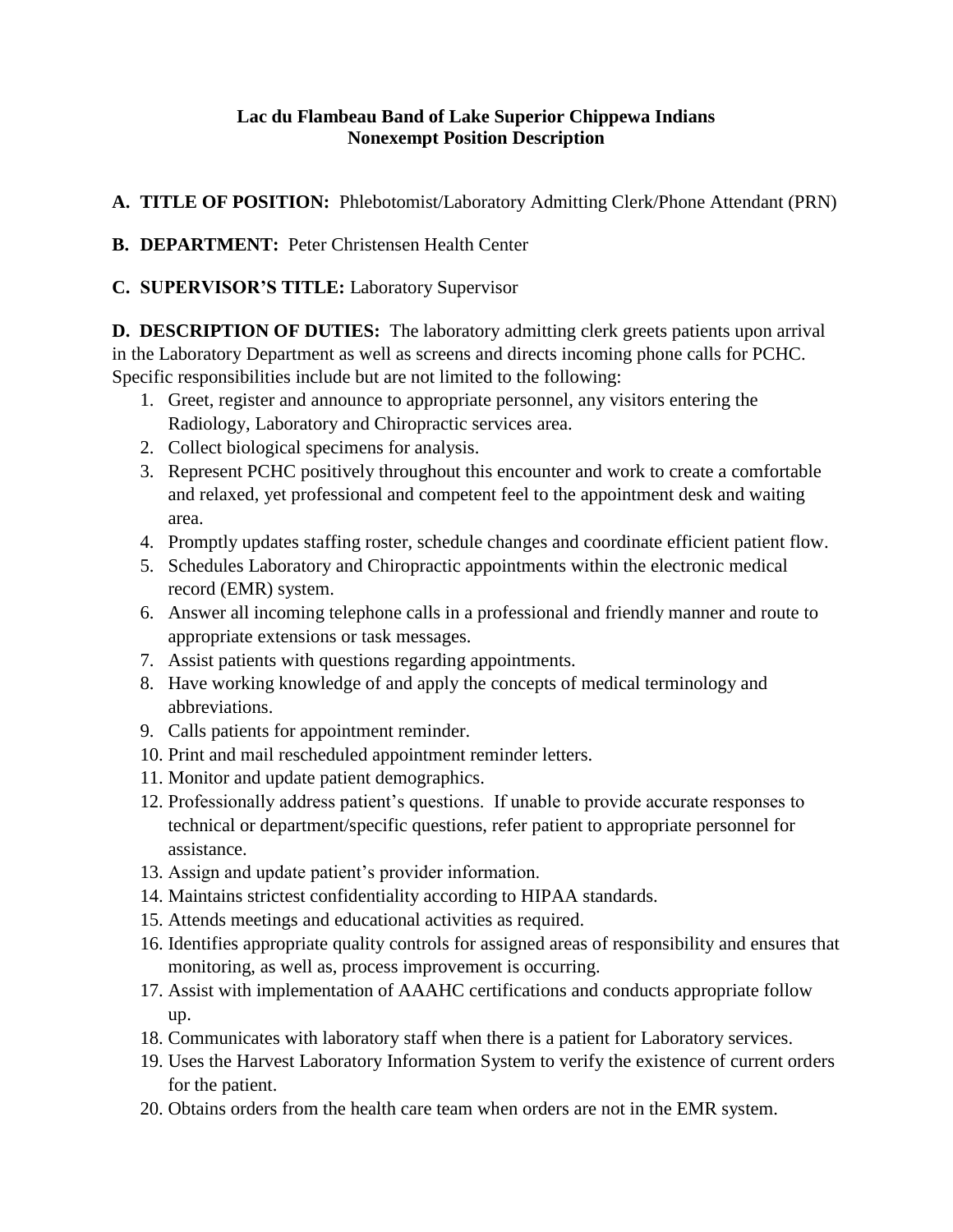# **Lac du Flambeau Band of Lake Superior Chippewa Indians Nonexempt Position Description**

**A. TITLE OF POSITION:** Phlebotomist/Laboratory Admitting Clerk/Phone Attendant (PRN)

**B. DEPARTMENT:** Peter Christensen Health Center

**C. SUPERVISOR'S TITLE:** Laboratory Supervisor

**D. DESCRIPTION OF DUTIES:** The laboratory admitting clerk greets patients upon arrival in the Laboratory Department as well as screens and directs incoming phone calls for PCHC. Specific responsibilities include but are not limited to the following:

- 1. Greet, register and announce to appropriate personnel, any visitors entering the Radiology, Laboratory and Chiropractic services area.
- 2. Collect biological specimens for analysis.
- 3. Represent PCHC positively throughout this encounter and work to create a comfortable and relaxed, yet professional and competent feel to the appointment desk and waiting area.
- 4. Promptly updates staffing roster, schedule changes and coordinate efficient patient flow.
- 5. Schedules Laboratory and Chiropractic appointments within the electronic medical record (EMR) system.
- 6. Answer all incoming telephone calls in a professional and friendly manner and route to appropriate extensions or task messages.
- 7. Assist patients with questions regarding appointments.
- 8. Have working knowledge of and apply the concepts of medical terminology and abbreviations.
- 9. Calls patients for appointment reminder.
- 10. Print and mail rescheduled appointment reminder letters.
- 11. Monitor and update patient demographics.
- 12. Professionally address patient's questions. If unable to provide accurate responses to technical or department/specific questions, refer patient to appropriate personnel for assistance.
- 13. Assign and update patient's provider information.
- 14. Maintains strictest confidentiality according to HIPAA standards.
- 15. Attends meetings and educational activities as required.
- 16. Identifies appropriate quality controls for assigned areas of responsibility and ensures that monitoring, as well as, process improvement is occurring.
- 17. Assist with implementation of AAAHC certifications and conducts appropriate follow up.
- 18. Communicates with laboratory staff when there is a patient for Laboratory services.
- 19. Uses the Harvest Laboratory Information System to verify the existence of current orders for the patient.
- 20. Obtains orders from the health care team when orders are not in the EMR system.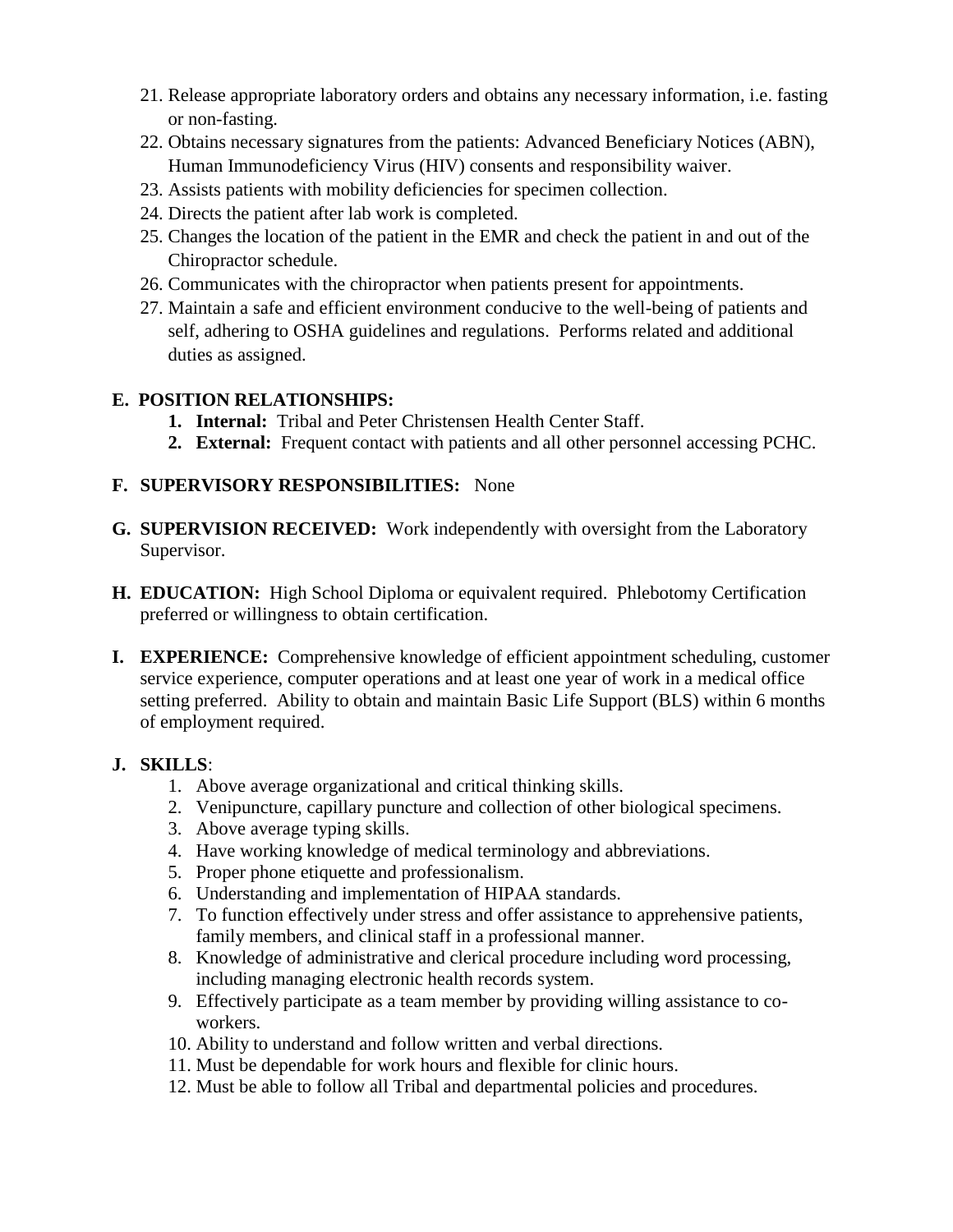- 21. Release appropriate laboratory orders and obtains any necessary information, i.e. fasting or non-fasting.
- 22. Obtains necessary signatures from the patients: Advanced Beneficiary Notices (ABN), Human Immunodeficiency Virus (HIV) consents and responsibility waiver.
- 23. Assists patients with mobility deficiencies for specimen collection.
- 24. Directs the patient after lab work is completed.
- 25. Changes the location of the patient in the EMR and check the patient in and out of the Chiropractor schedule.
- 26. Communicates with the chiropractor when patients present for appointments.
- 27. Maintain a safe and efficient environment conducive to the well-being of patients and self, adhering to OSHA guidelines and regulations. Performs related and additional duties as assigned.

# **E. POSITION RELATIONSHIPS:**

- **1. Internal:** Tribal and Peter Christensen Health Center Staff.
- **2. External:** Frequent contact with patients and all other personnel accessing PCHC.

# **F. SUPERVISORY RESPONSIBILITIES:** None

- **G. SUPERVISION RECEIVED:** Work independently with oversight from the Laboratory Supervisor.
- **H. EDUCATION:** High School Diploma or equivalent required. Phlebotomy Certification preferred or willingness to obtain certification.
- **I. EXPERIENCE:** Comprehensive knowledge of efficient appointment scheduling, customer service experience, computer operations and at least one year of work in a medical office setting preferred. Ability to obtain and maintain Basic Life Support (BLS) within 6 months of employment required.

## **J. SKILLS**:

- 1. Above average organizational and critical thinking skills.
- 2. Venipuncture, capillary puncture and collection of other biological specimens.
- 3. Above average typing skills.
- 4. Have working knowledge of medical terminology and abbreviations.
- 5. Proper phone etiquette and professionalism.
- 6. Understanding and implementation of HIPAA standards.
- 7. To function effectively under stress and offer assistance to apprehensive patients, family members, and clinical staff in a professional manner.
- 8. Knowledge of administrative and clerical procedure including word processing, including managing electronic health records system.
- 9. Effectively participate as a team member by providing willing assistance to coworkers.
- 10. Ability to understand and follow written and verbal directions.
- 11. Must be dependable for work hours and flexible for clinic hours.
- 12. Must be able to follow all Tribal and departmental policies and procedures.